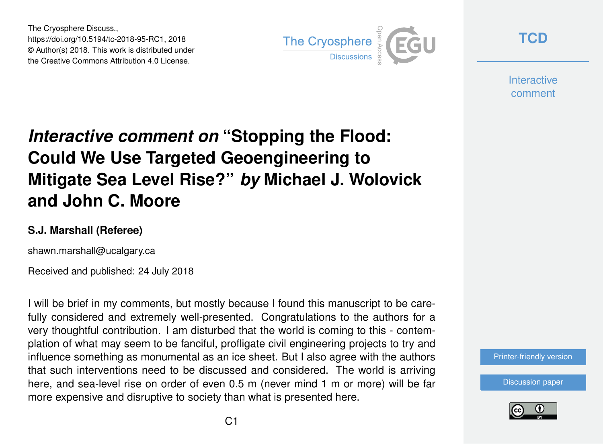The Cryosphere Discuss., https://doi.org/10.5194/tc-2018-95-RC1, 2018 © Author(s) 2018. This work is distributed under the Creative Commons Attribution 4.0 License.



**[TCD](https://www.the-cryosphere-discuss.net/)**

**Interactive** comment

## *Interactive comment on* **"Stopping the Flood: Could We Use Targeted Geoengineering to Mitigate Sea Level Rise?"** *by* **Michael J. Wolovick and John C. Moore**

## **S.J. Marshall (Referee)**

shawn.marshall@ucalgary.ca

Received and published: 24 July 2018

I will be brief in my comments, but mostly because I found this manuscript to be carefully considered and extremely well-presented. Congratulations to the authors for a very thoughtful contribution. I am disturbed that the world is coming to this - contemplation of what may seem to be fanciful, profligate civil engineering projects to try and influence something as monumental as an ice sheet. But I also agree with the authors that such interventions need to be discussed and considered. The world is arriving here, and sea-level rise on order of even 0.5 m (never mind 1 m or more) will be far more expensive and disruptive to society than what is presented here.

[Printer-friendly version](https://www.the-cryosphere-discuss.net/tc-2018-95/tc-2018-95-RC1-print.pdf)

[Discussion paper](https://www.the-cryosphere-discuss.net/tc-2018-95)

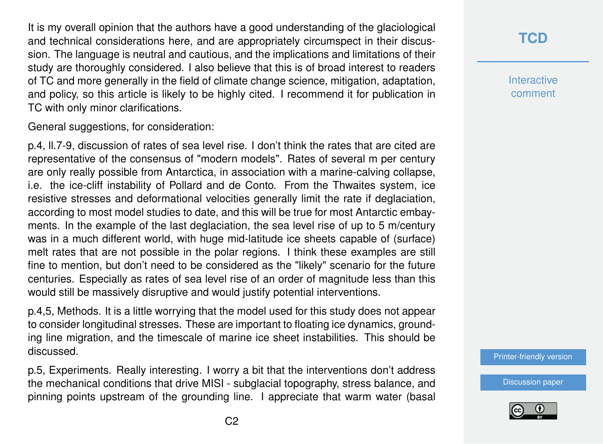It is my overall opinion that the authors have a good understanding of the glaciological and technical considerations here, and are appropriately circumspect in their discussion. The language is neutral and cautious, and the implications and limitations of their study are thoroughly considered. I also believe that this is of broad interest to readers of TC and more generally in the field of climate change science, mitigation, adaptation, and policy, so this article is likely to be highly cited. I recommend it for publication in TC with only minor clarifications.

General suggestions, for consideration:

p.4, ll.7-9, discussion of rates of sea level rise. I don't think the rates that are cited are representative of the consensus of "modern models". Rates of several m per century are only really possible from Antarctica, in association with a marine-calving collapse, i.e. the ice-cliff instability of Pollard and de Conto. From the Thwaites system, ice resistive stresses and deformational velocities generally limit the rate if deglaciation, according to most model studies to date, and this will be true for most Antarctic embayments. In the example of the last deglaciation, the sea level rise of up to 5 m/century was in a much different world, with huge mid-latitude ice sheets capable of (surface) melt rates that are not possible in the polar regions. I think these examples are still fine to mention, but don't need to be considered as the "likely" scenario for the future centuries. Especially as rates of sea level rise of an order of magnitude less than this would still be massively disruptive and would justify potential interventions.

p.4,5, Methods. It is a little worrying that the model used for this study does not appear to consider longitudinal stresses. These are important to floating ice dynamics, grounding line migration, and the timescale of marine ice sheet instabilities. This should be discussed.

p.5, Experiments. Really interesting. I worry a bit that the interventions don't address the mechanical conditions that drive MISI - subglacial topography, stress balance, and pinning points upstream of the grounding line. I appreciate that warm water (basal **[TCD](https://www.the-cryosphere-discuss.net/)**

**Interactive** comment

[Printer-friendly version](https://www.the-cryosphere-discuss.net/tc-2018-95/tc-2018-95-RC1-print.pdf)

[Discussion paper](https://www.the-cryosphere-discuss.net/tc-2018-95)